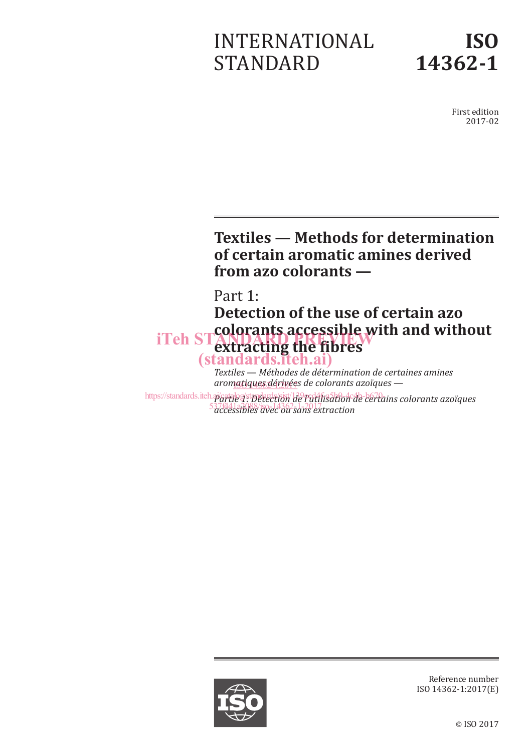# INTERNATIONAL STANDARD



First edition 2017-02

## **Textiles — Methods for determination of certain aromatic amines derived from azo colorants —**

Part 1:

### **Detection of the use of certain azo colorants accessible with and without extracting the fibres** iTeh STANDARD ALLESSIDE WITH (standards.iteh.ai)

*Textiles — Méthodes de détermination de certaines amines aromatiques dérivées de colorants azoïques —* ISO 14362-1:2017

https://standards.iteh.ai/catalog/stmetection de l'utilisation de certains colorants azoïques *accessibles avec ou sans extraction* 537f441a2088/iso-14362-1-2017



Reference number ISO 14362-1:2017(E)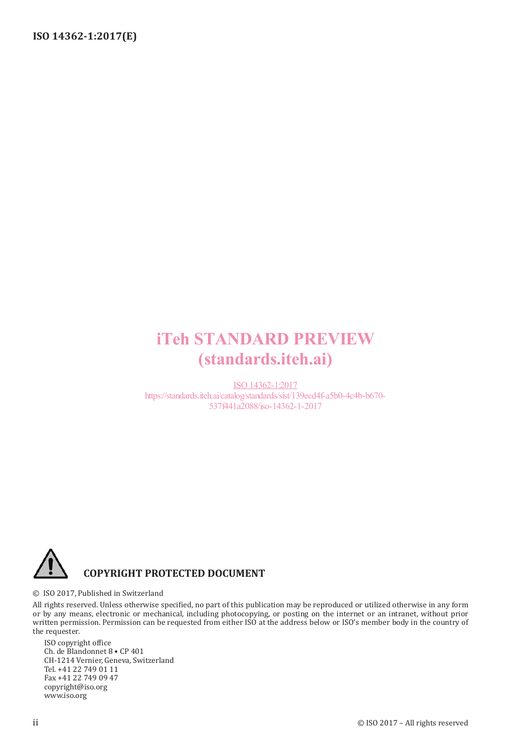## iTeh STANDARD PREVIEW (standards.iteh.ai)

ISO 14362-1:2017 https://standards.iteh.ai/catalog/standards/sist/139ecd4f-a5b0-4c4b-b670- 537f441a2088/iso-14362-1-2017



#### © ISO 2017, Published in Switzerland

All rights reserved. Unless otherwise specified, no part of this publication may be reproduced or utilized otherwise in any form or by any means, electronic or mechanical, including photocopying, or posting on the internet or an intranet, without prior written permission. Permission can be requested from either ISO at the address below or ISO's member body in the country of the requester.

ISO copyright office Ch. de Blandonnet 8 • CP 401 CH-1214 Vernier, Geneva, Switzerland Tel. +41 22 749 01 11 Fax +41 22 749 09 47 copyright@iso.org www.iso.org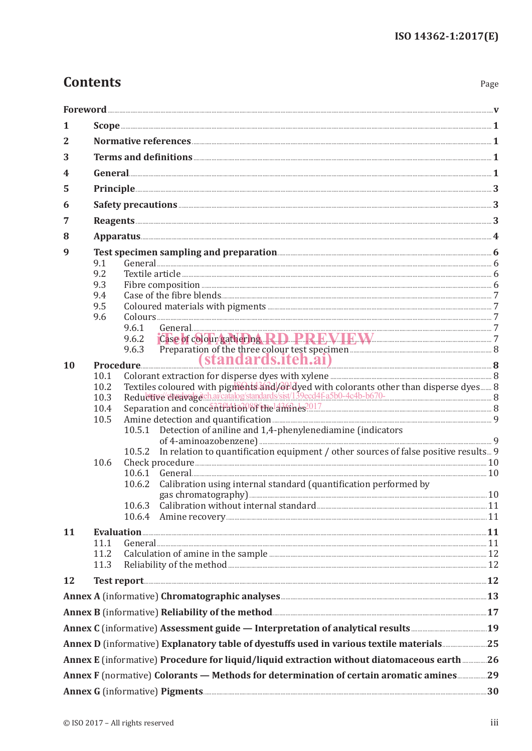## **Contents**

| 1           |                                                                                                                                                                                                                                      |                                                                                                                                                                                                                                |  |  |  |  |  |
|-------------|--------------------------------------------------------------------------------------------------------------------------------------------------------------------------------------------------------------------------------------|--------------------------------------------------------------------------------------------------------------------------------------------------------------------------------------------------------------------------------|--|--|--|--|--|
| $\mathbf 2$ |                                                                                                                                                                                                                                      |                                                                                                                                                                                                                                |  |  |  |  |  |
| 3           |                                                                                                                                                                                                                                      |                                                                                                                                                                                                                                |  |  |  |  |  |
| 4           |                                                                                                                                                                                                                                      |                                                                                                                                                                                                                                |  |  |  |  |  |
|             |                                                                                                                                                                                                                                      |                                                                                                                                                                                                                                |  |  |  |  |  |
| 5           | Principle <u>Executive and a set of the set of the set of the set of the set of the set of the set of the set of the set of the set of the set of the set of the set of the set of the set of the set of the set of the set of t</u> |                                                                                                                                                                                                                                |  |  |  |  |  |
| 6           |                                                                                                                                                                                                                                      |                                                                                                                                                                                                                                |  |  |  |  |  |
| 7           |                                                                                                                                                                                                                                      |                                                                                                                                                                                                                                |  |  |  |  |  |
| 8           |                                                                                                                                                                                                                                      |                                                                                                                                                                                                                                |  |  |  |  |  |
| 9           |                                                                                                                                                                                                                                      |                                                                                                                                                                                                                                |  |  |  |  |  |
|             | 9.1                                                                                                                                                                                                                                  |                                                                                                                                                                                                                                |  |  |  |  |  |
|             | 9.2                                                                                                                                                                                                                                  |                                                                                                                                                                                                                                |  |  |  |  |  |
|             | 9.3                                                                                                                                                                                                                                  |                                                                                                                                                                                                                                |  |  |  |  |  |
|             | 9.4                                                                                                                                                                                                                                  |                                                                                                                                                                                                                                |  |  |  |  |  |
|             | 9.5                                                                                                                                                                                                                                  |                                                                                                                                                                                                                                |  |  |  |  |  |
|             | 9.6                                                                                                                                                                                                                                  |                                                                                                                                                                                                                                |  |  |  |  |  |
|             |                                                                                                                                                                                                                                      | 9.6.1                                                                                                                                                                                                                          |  |  |  |  |  |
|             |                                                                                                                                                                                                                                      | Case of colour gathering RD PREVIEW T<br>9.6.2                                                                                                                                                                                 |  |  |  |  |  |
|             |                                                                                                                                                                                                                                      | 9.6.3 Preparation of the three colour test specimen <b>Example 2016</b> 8                                                                                                                                                      |  |  |  |  |  |
| <b>10</b>   |                                                                                                                                                                                                                                      | Procedure (standards.itch.ai) 8                                                                                                                                                                                                |  |  |  |  |  |
|             | 10.1                                                                                                                                                                                                                                 |                                                                                                                                                                                                                                |  |  |  |  |  |
|             | 10.2                                                                                                                                                                                                                                 |                                                                                                                                                                                                                                |  |  |  |  |  |
|             | 10.3                                                                                                                                                                                                                                 | Textiles coloured with pigments and/orld yed with colorants other than disperse dyes 8<br>Reductive the avage thai catalog standards sist 139ecd4f-a5b0-4c4b-b670-                                                             |  |  |  |  |  |
|             | 10.4                                                                                                                                                                                                                                 | Separation and concentration of the amines 2017 Separation and concentration of the aminos of the separation and                                                                                                               |  |  |  |  |  |
|             | 10.5                                                                                                                                                                                                                                 |                                                                                                                                                                                                                                |  |  |  |  |  |
|             |                                                                                                                                                                                                                                      | Detection of aniline and 1,4-phenylenediamine (indicators<br>10.5.1                                                                                                                                                            |  |  |  |  |  |
|             |                                                                                                                                                                                                                                      |                                                                                                                                                                                                                                |  |  |  |  |  |
|             |                                                                                                                                                                                                                                      | In relation to quantification equipment / other sources of false positive results 9<br>10.5.2                                                                                                                                  |  |  |  |  |  |
|             | 10.6                                                                                                                                                                                                                                 |                                                                                                                                                                                                                                |  |  |  |  |  |
|             |                                                                                                                                                                                                                                      |                                                                                                                                                                                                                                |  |  |  |  |  |
|             |                                                                                                                                                                                                                                      | Calibration using internal standard (quantification performed by<br>10.6.2                                                                                                                                                     |  |  |  |  |  |
|             |                                                                                                                                                                                                                                      |                                                                                                                                                                                                                                |  |  |  |  |  |
|             |                                                                                                                                                                                                                                      |                                                                                                                                                                                                                                |  |  |  |  |  |
|             |                                                                                                                                                                                                                                      | 10.6.4                                                                                                                                                                                                                         |  |  |  |  |  |
| 11          |                                                                                                                                                                                                                                      | Evaluation 21 Marshall 2016 and 2017 11 Marshall 2018 12:30 Marshall 2018 12:30 Marshall 2018 12:30 Marshall 2018 12:30 Marshall 2018 12:30 Marshall 2018 12:30 Marshall 2018 12:30 Marshall 2018 12:30 Marshall 2018 12:30 Ma |  |  |  |  |  |
|             | 11.1                                                                                                                                                                                                                                 | General 21 Apr 2014 11 Apr 2014 12:00 12:00 12:00 12:00 12:00 12:00 12:00 12:00 12:00 12:00 12:00 12:00 12:00 1                                                                                                                |  |  |  |  |  |
|             | 11.2                                                                                                                                                                                                                                 |                                                                                                                                                                                                                                |  |  |  |  |  |
|             | 11.3                                                                                                                                                                                                                                 |                                                                                                                                                                                                                                |  |  |  |  |  |
| 12          |                                                                                                                                                                                                                                      |                                                                                                                                                                                                                                |  |  |  |  |  |
|             |                                                                                                                                                                                                                                      |                                                                                                                                                                                                                                |  |  |  |  |  |
|             |                                                                                                                                                                                                                                      | Annex B (informative) Reliability of the method <b>Sandware Community</b> 17                                                                                                                                                   |  |  |  |  |  |
|             |                                                                                                                                                                                                                                      | Annex C (informative) Assessment guide - Interpretation of analytical results <b>Manual Lines</b> 19                                                                                                                           |  |  |  |  |  |
|             |                                                                                                                                                                                                                                      | Annex D (informative) Explanatory table of dyestuffs used in various textile materials25                                                                                                                                       |  |  |  |  |  |
|             |                                                                                                                                                                                                                                      | Annex E (informative) Procedure for liquid/liquid extraction without diatomaceous earth26                                                                                                                                      |  |  |  |  |  |
|             |                                                                                                                                                                                                                                      |                                                                                                                                                                                                                                |  |  |  |  |  |
|             |                                                                                                                                                                                                                                      | Annex F (normative) Colorants - Methods for determination of certain aromatic amines 29                                                                                                                                        |  |  |  |  |  |
|             |                                                                                                                                                                                                                                      |                                                                                                                                                                                                                                |  |  |  |  |  |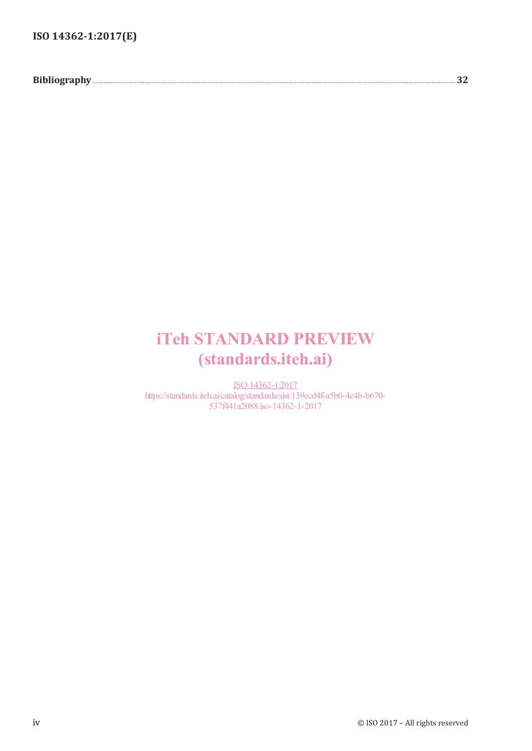**Bibliography**.............................................................................................................................................................................................................................**32**

## iTeh STANDARD PREVIEW (standards.iteh.ai)

ISO 14362-1:2017 https://standards.iteh.ai/catalog/standards/sist/139ecd4f-a5b0-4c4b-b670- 537f441a2088/iso-14362-1-2017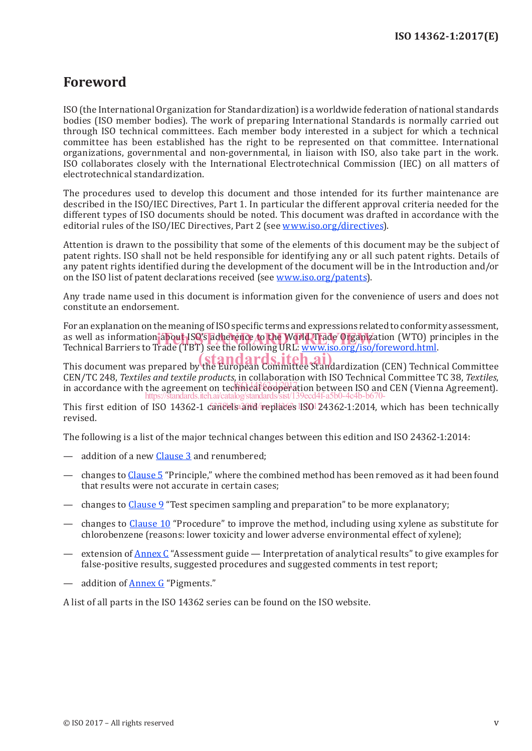### **Foreword**

ISO (the International Organization for Standardization) is a worldwide federation of national standards bodies (ISO member bodies). The work of preparing International Standards is normally carried out through ISO technical committees. Each member body interested in a subject for which a technical committee has been established has the right to be represented on that committee. International organizations, governmental and non-governmental, in liaison with ISO, also take part in the work. ISO collaborates closely with the International Electrotechnical Commission (IEC) on all matters of electrotechnical standardization.

The procedures used to develop this document and those intended for its further maintenance are described in the ISO/IEC Directives, Part 1. In particular the different approval criteria needed for the different types of ISO documents should be noted. This document was drafted in accordance with the editorial rules of the ISO/IEC Directives, Part 2 (see www.iso.org/directives).

Attention is drawn to the possibility that some of the elements of this document may be the subject of patent rights. ISO shall not be held responsible for identifying any or all such patent rights. Details of any patent rights identified during the development of the document will be in the Introduction and/or on the ISO list of patent declarations received (see www.iso.org/patents).

Any trade name used in this document is information given for the convenience of users and does not constitute an endorsement.

For an explanation on the meaning of ISO specific terms and expressions related to conformity assessment, as well as information about ISO's adherence to the World Trade Organization (WTO) principles in the<br>Technical Barriers to Trade (TBT) see the following URL: www.iso.org/iso/foreword html Technical Barriers to Trade (TBT) see the following URL: www.iso.org/iso/foreword.html.

This document was prepared by the European Committee Standardization (CEN) Technical Committee CEN/TC 248, *Textiles and textile products*, in collaboration with ISO Technical Committee TC 38, *Textiles*, in accordance with the agreement on technical cooperation between ISO and CEN (Vienna Agreement). tandards.iteh.ai/catalog/standar

This first edition of ISO 14362-1 caned sand replaces ISO 24362-1:2014, which has been technically revised.

The following is a list of the major technical changes between this edition and ISO 24362-1:2014:

- addition of a new Clause 3 and renumbered;
- changes to Clause 5 "Principle," where the combined method has been removed as it had been found that results were not accurate in certain cases;
- changes to Clause 9 "Test specimen sampling and preparation" to be more explanatory;
- changes to Clause 10 "Procedure" to improve the method, including using xylene as substitute for chlorobenzene (reasons: lower toxicity and lower adverse environmental effect of xylene);
- extension of Annex C "Assessment guide Interpretation of analytical results" to give examples for false-positive results, suggested procedures and suggested comments in test report;
- addition of Annex G "Pigments."

A list of all parts in the ISO 14362 series can be found on the ISO website.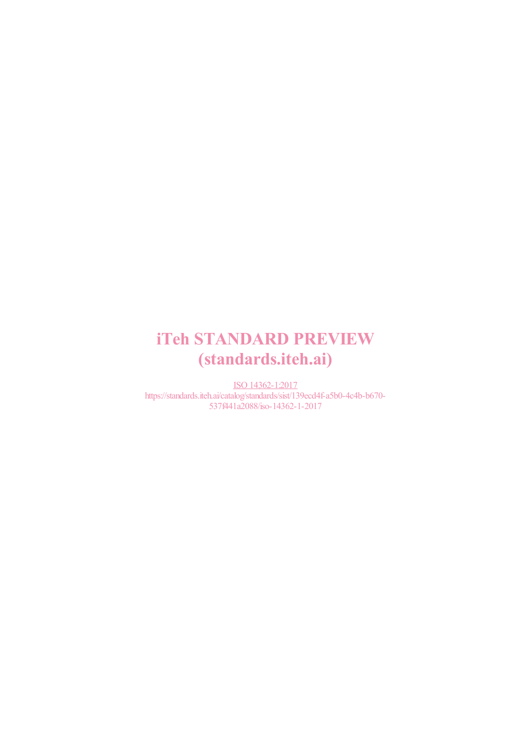## iTeh STANDARD PREVIEW (standards.iteh.ai)

ISO 14362-1:2017 https://standards.iteh.ai/catalog/standards/sist/139ecd4f-a5b0-4c4b-b670- 537f441a2088/iso-14362-1-2017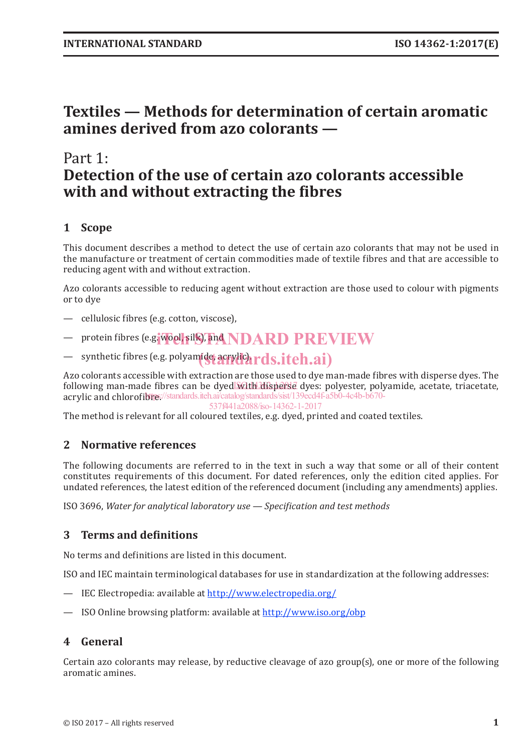### **Textiles — Methods for determination of certain aromatic amines derived from azo colorants —**

### Part 1: **Detection of the use of certain azo colorants accessible with and without extracting the fibres**

### **1 Scope**

This document describes a method to detect the use of certain azo colorants that may not be used in the manufacture or treatment of certain commodities made of textile fibres and that are accessible to reducing agent with and without extraction.

Azo colorants accessible to reducing agent without extraction are those used to colour with pigments or to dye

- cellulosic fibres (e.g. cotton, viscose),
- protein fibres (e.g. wool, silk), and **NDARD PREVIEW**
- synthetic fibres (e.g. polyamide acrylicards.iteh.ai)

Azo colorants accessible with extraction are those used to dye man-made fibres with disperse dyes. The following man-made fibres can be dyed with disperse dyes: polyester, polyamide, acetate, triacetate, acrylic and chlorofibile://standards.iteh.ai/catalog/standards/sist/139ecd4f-a5b0-4c4b-b670-

### 537f441a2088/iso-14362-1-2017

The method is relevant for all coloured textiles, e.g. dyed, printed and coated textiles.

### **2 Normative references**

The following documents are referred to in the text in such a way that some or all of their content constitutes requirements of this document. For dated references, only the edition cited applies. For undated references, the latest edition of the referenced document (including any amendments) applies.

ISO 3696, *Water for analytical laboratory use — Specification and test methods*

### **3 Terms and definitions**

No terms and definitions are listed in this document.

ISO and IEC maintain terminological databases for use in standardization at the following addresses:

- IEC Electropedia: available at http://www.electropedia.org/
- ISO Online browsing platform: available at http://www.iso.org/obp

### **4 General**

Certain azo colorants may release, by reductive cleavage of azo group(s), one or more of the following aromatic amines.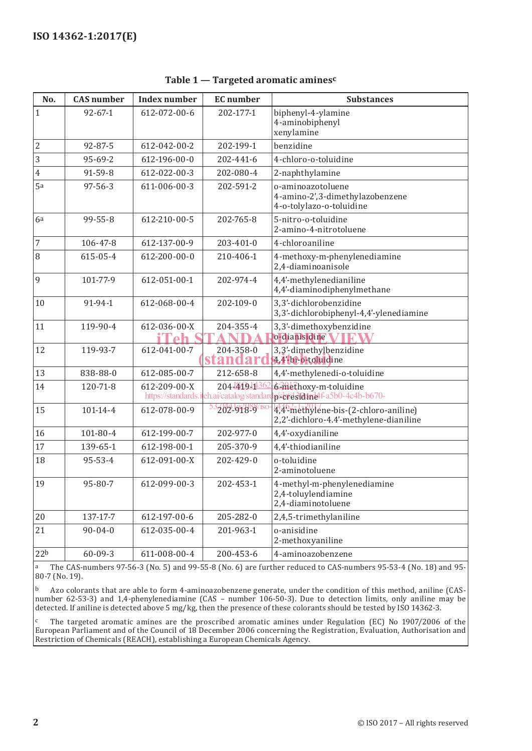| No.             | <b>CAS</b> number | <b>Index number</b>    | <b>EC</b> number      | <b>Substances</b>                                                                                   |  |
|-----------------|-------------------|------------------------|-----------------------|-----------------------------------------------------------------------------------------------------|--|
| $\vert$ 1       | $92 - 67 - 1$     | 612-072-00-6           | 202-177-1             | biphenyl-4-ylamine<br>4-aminobiphenyl<br>xenylamine                                                 |  |
| $ 2\rangle$     | 92-87-5           | 612-042-00-2           | 202-199-1             | benzidine                                                                                           |  |
| $\overline{3}$  | $95 - 69 - 2$     | 612-196-00-0           | 202-441-6             | 4-chloro-o-toluidine                                                                                |  |
| $\sqrt{4}$      | 91-59-8           | 612-022-00-3           | 202-080-4             | 2-naphthylamine                                                                                     |  |
| 5a              | 97-56-3           | 611-006-00-3           | 202-591-2             | o-aminoazotoluene<br>4-amino-2',3-dimethylazobenzene<br>4-o-tolylazo-o-toluidine                    |  |
| <b>6a</b>       | 99-55-8           | 612-210-00-5           | 202-765-8             | 5-nitro-o-toluidine<br>2-amino-4-nitrotoluene                                                       |  |
| 7               | 106-47-8          | 612-137-00-9           | 203-401-0             | 4-chloroaniline                                                                                     |  |
| 8               | $615 - 05 - 4$    | $612 - 200 - 00 - 0$   | 210-406-1             | 4-methoxy-m-phenylenediamine<br>2,4-diaminoanisole                                                  |  |
| $ 9\rangle$     | 101-77-9          | 612-051-00-1           | 202-974-4             | 4,4'-methylenedianiline<br>4,4'-diaminodiphenylmethane                                              |  |
| 10              | 91-94-1           | 612-068-00-4           | 202-109-0             | 3,3'-dichlorobenzidine<br>3,3'-dichlorobiphenyl-4,4'-ylenediamine                                   |  |
| 11              | 119-90-4          | 612-036-00-X<br>iTeh S | 204-355-4<br>Δ        | 3,3'-dimethoxybenzidine<br>o-dianisidine                                                            |  |
| 12              | 119-93-7          | 612-041-00-7           | 204-358-0<br>standard | 3,3'-dimethylbenzidine<br>4.4 bi-o-toluidine                                                        |  |
| 13              | 838-88-0          | 612-085-00-7           | 212-658-8             | 4,4'-methylenedi-o-toluidine                                                                        |  |
| 14              | 120-71-8          | 612-209-00-X           | 204 40 1436           | 6-methoxy-m-toluidine<br>https://standards.iteh.ai/catalog/standardp/sict/dsfdbmd4f-a5b0-4c4b-b670- |  |
| 15              | $101 - 14 - 4$    | 612-078-00-9           | 53202-918-9/1so       | 4,462nethylene-bis-(2-chloro-aniline)<br>2,2'-dichloro-4.4'-methylene-dianiline                     |  |
| 16              | 101-80-4          | 612-199-00-7           | 202-977-0             | 4,4'-oxydianiline                                                                                   |  |
| $17\,$          | 139-65-1          | 612-198-00-1           | 205-370-9             | 4,4'-thiodianiline                                                                                  |  |
| 18              | $95 - 53 - 4$     | 612-091-00-X           | 202-429-0             | o-toluidine<br>2-aminotoluene                                                                       |  |
| 19              | 95-80-7           | 612-099-00-3           | 202-453-1             | 4-methyl-m-phenylenediamine<br>2,4-toluylendiamine<br>2,4-diaminotoluene                            |  |
| 20              | 137-17-7          | 612-197-00-6           | 205-282-0             | 2,4,5-trimethylaniline                                                                              |  |
| 21              | $90 - 04 - 0$     | 612-035-00-4           | 201-963-1             | o-anisidine<br>2-methoxyaniline                                                                     |  |
| 22 <sup>b</sup> | $60 - 09 - 3$     | 611-008-00-4           | 200-453-6             | 4-aminoazobenzene                                                                                   |  |

**Table 1 — Targeted aromatic aminesc**

a The CAS-numbers 97-56-3 (No. 5) and 99-55-8 (No. 6) are further reduced to CAS-numbers 95-53-4 (No. 18) and 95- 80-7 (No. 19).

 $\vert$ b Azo colorants that are able to form 4-aminoazobenzene generate, under the condition of this method, aniline (CASnumber 62-53-3) and 1,4-phenylenediamine (CAS – number 106-50-3). Due to detection limits, only aniline may be detected. If aniline is detected above 5 mg/kg, then the presence of these colorants should be tested by ISO 14362-3.

The targeted aromatic amines are the proscribed aromatic amines under Regulation (EC) No 1907/2006 of the European Parliament and of the Council of 18 December 2006 concerning the Registration, Evaluation, Authorisation and Restriction of Chemicals (REACH), establishing a European Chemicals Agency.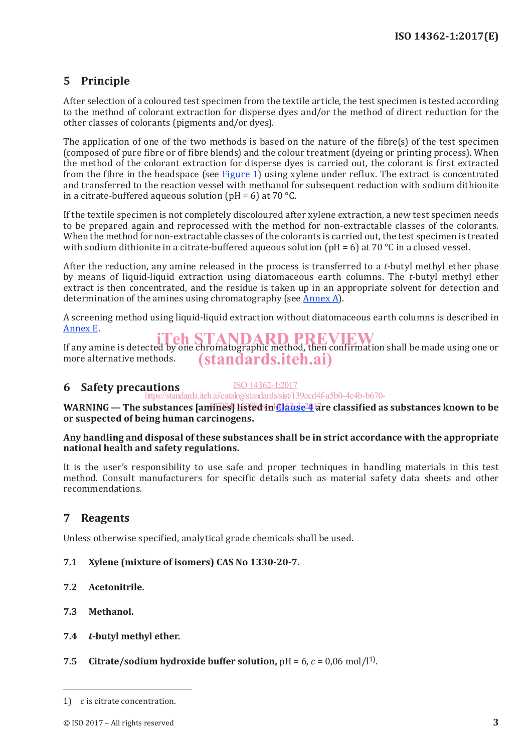### **5 Principle**

After selection of a coloured test specimen from the textile article, the test specimen is tested according to the method of colorant extraction for disperse dyes and/or the method of direct reduction for the other classes of colorants (pigments and/or dyes).

The application of one of the two methods is based on the nature of the fibre(s) of the test specimen (composed of pure fibre or of fibre blends) and the colour treatment (dyeing or printing process). When the method of the colorant extraction for disperse dyes is carried out, the colorant is first extracted from the fibre in the headspace (see Figure 1) using xylene under reflux. The extract is concentrated and transferred to the reaction vessel with methanol for subsequent reduction with sodium dithionite in a citrate-buffered aqueous solution ( $pH = 6$ ) at 70 °C.

If the textile specimen is not completely discoloured after xylene extraction, a new test specimen needs to be prepared again and reprocessed with the method for non-extractable classes of the colorants. When the method for non-extractable classes of the colorants is carried out, the test specimen is treated with sodium dithionite in a citrate-buffered aqueous solution ( $pH = 6$ ) at 70 °C in a closed vessel.

After the reduction, any amine released in the process is transferred to a *t*-butyl methyl ether phase by means of liquid-liquid extraction using diatomaceous earth columns. The *t*-butyl methyl ether extract is then concentrated, and the residue is taken up in an appropriate solvent for detection and determination of the amines using chromatography (see Annex A).

A screening method using liquid-liquid extraction without diatomaceous earth columns is described in Annex E.

If any amine is detected by one chromatographic method, then confirmation shall be made using one or more alternative methods. iTeh STANDARD PREVIEW (standards.iteh.ai)

#### **6 Safety precautions** ISO 14362-1:2017

https://standards.iteh.ai/catalog/standards/sist/139ecd4f-a5b0-4c4b-b670-

**WARNING — The substances [am<del>ines] histed i</del>n Clause<sup>24</sup> a**re classified as substances known to be **or suspected of being human carcinogens.** 

### **Any handling and disposal of these substances shall be in strict accordance with the appropriate national health and safety regulations.**

It is the user's responsibility to use safe and proper techniques in handling materials in this test method. Consult manufacturers for specific details such as material safety data sheets and other recommendations.

### **7 Reagents**

Unless otherwise specified, analytical grade chemicals shall be used.

- **7.1 Xylene (mixture of isomers) CAS No 1330-20-7.**
- **7.2 Acetonitrile.**
- **7.3 Methanol.**
- **7.4** *t***-butyl methyl ether.**
- **7.5** Citrate/sodium hydroxide buffer solution,  $pH = 6$ ,  $c = 0.06$  mol/ $1^{11}$ .

<sup>1)</sup> *c* is citrate concentration.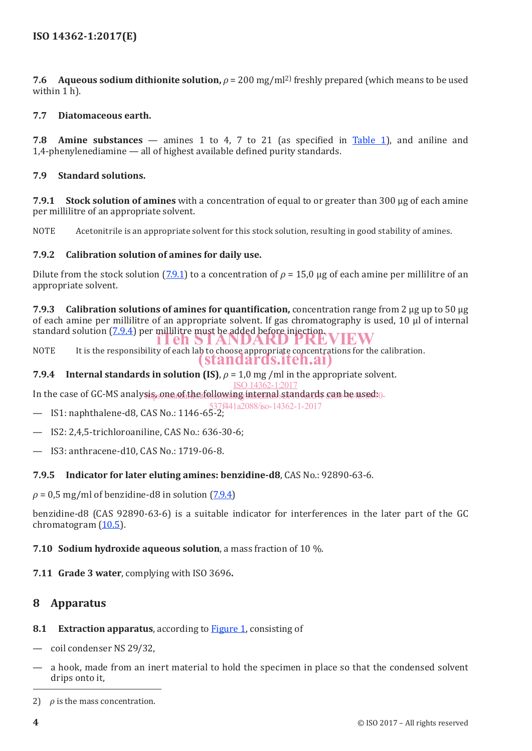**7.6 Aqueous sodium dithionite solution,**  $\rho = 200 \text{ mg/ml}^2$  freshly prepared (which means to be used within 1 h).

### **7.7 Diatomaceous earth.**

**7.8 Amine substances** — amines 1 to 4, 7 to 21 (as specified in Table 1), and aniline and 1,4-phenylenediamine — all of highest available defined purity standards.

### **7.9 Standard solutions.**

**7.9.1 Stock solution of amines** with a concentration of equal to or greater than 300 µg of each amine per millilitre of an appropriate solvent.

NOTE Acetonitrile is an appropriate solvent for this stock solution, resulting in good stability of amines.

### **7.9.2 Calibration solution of amines for daily use.**

Dilute from the stock solution ( $\frac{7.9.1}{2}$ ) to a concentration of  $ρ = 15.0$  μg of each amine per millilitre of an appropriate solvent.

**7.9.3 Calibration solutions of amines for quantification,** concentration range from 2 μg up to 50 μg of each amine per millilitre of an appropriate solvent. If gas chromatography is used, 10 μl of internal standard solution (7.9.4) per millilitre must be added before injection. number must be added perore injection.<br>11 Ch STANDARD PREVIEW

NOTE It is the responsibility of each lab to choose appropriate concentrations for the calibration. (standards.iteh.ai)

### **7.9.4 Internal standards in solution (IS)**,  $\rho = 1.0$  mg/ml in the appropriate solvent.

ISO 14362-1:2017

In the case of GC-MS analysis, one of the following internal standards can be used: 0-

 $-$  IS1: naphthalene-d8, CAS No.: 1146-65-2; 537f441a2088/iso-14362-1-2017

— IS2: 2,4,5-trichloroaniline, CAS No.: 636-30-6;

— IS3: anthracene-d10, CAS No.: 1719-06-8.

### **7.9.5 Indicator for later eluting amines: benzidine-d8**, CAS No.: 92890-63-6.

 $\rho = 0.5$  mg/ml of benzidine-d8 in solution (7.9.4)

benzidine-d8 (CAS 92890-63-6) is a suitable indicator for interferences in the later part of the GC chromatogram (10.5).

### **7.10 Sodium hydroxide aqueous solution**, a mass fraction of 10 %.

**7.11 Grade 3 water**, complying with ISO 3696**.**

### **8 Apparatus**

### **8.1 Extraction apparatus**, according to Figure 1, consisting of

- coil condenser NS 29/32,
- a hook, made from an inert material to hold the specimen in place so that the condensed solvent drips onto it,

<sup>2)</sup> *ρ* is the mass concentration.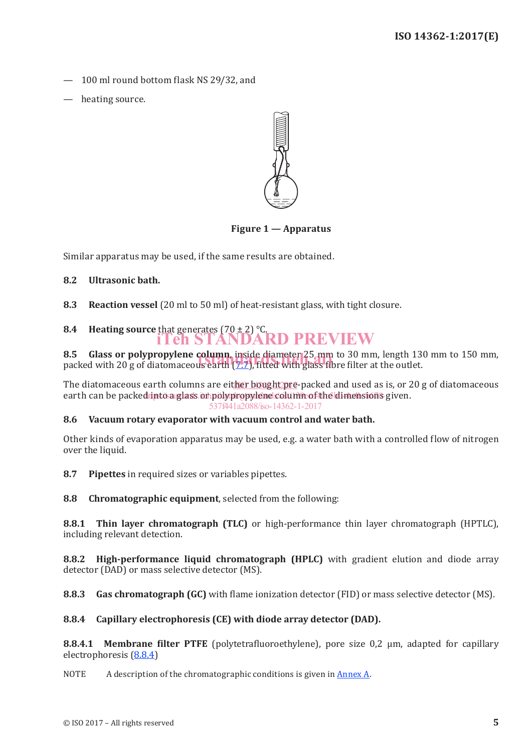- 100 ml round bottom flask NS 29/32, and
- heating source.



**Figure 1 — Apparatus**

Similar apparatus may be used, if the same results are obtained.

### **8.2 Ultrasonic bath.**

**8.3 Reaction vessel** (20 ml to 50 ml) of heat-resistant glass, with tight closure.

# **8.4 Heating source** that generates (70 ± 2) °C.<br> **iTeh STANDARD PREVIEW**

**8.5 Glass or polypropylene column**, inside diameter 25 mm to 30 mm, length 130 mm to 150 mm, **8.5 Glass or polypropylene column, inside diameter 25 mm to 30 mm, length 13** packed with 20 g of diatomaceous earth (7.7), fitted with glass fibre filter at the outlet.

The diatomaceous earth columns are either bought pre-packed and used as is, or 20 g of diatomaceous earth can be packed into a glass or polypropylene column of the dimensions given. 537f441a2088/iso-14362-1-2017

### **8.6 Vacuum rotary evaporator with vacuum control and water bath.**

Other kinds of evaporation apparatus may be used, e.g. a water bath with a controlled flow of nitrogen over the liquid.

**8.7 Pipettes** in required sizes or variables pipettes.

**8.8 Chromatographic equipment**, selected from the following:

**8.8.1 Thin layer chromatograph (TLC)** or high-performance thin layer chromatograph (HPTLC), including relevant detection.

**8.8.2 High-performance liquid chromatograph (HPLC)** with gradient elution and diode array detector (DAD) or mass selective detector (MS).

**8.8.3 Gas chromatograph (GC)** with flame ionization detector (FID) or mass selective detector (MS).

### **8.8.4 Capillary electrophoresis (CE) with diode array detector (DAD).**

**8.8.4.1 Membrane filter PTFE** (polytetrafluoroethylene), pore size 0,2 µm, adapted for capillary electrophoresis (8.8.4)

NOTE A description of the chromatographic conditions is given in **Annex A**.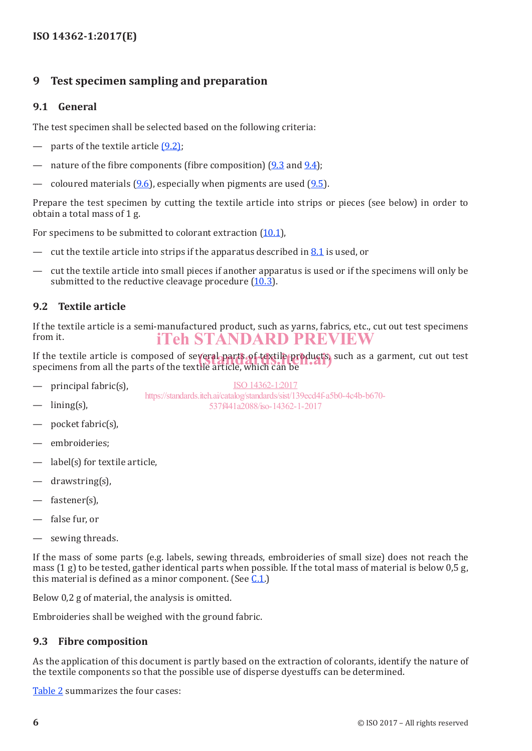### **9 Test specimen sampling and preparation**

### **9.1 General**

The test specimen shall be selected based on the following criteria:

- parts of the textile article (9.2);
- nature of the fibre components (fibre composition)  $(9.3 \text{ and } 9.4)$ ;
- coloured materials  $(9.6)$ , especially when pigments are used  $(9.5)$ .

Prepare the test specimen by cutting the textile article into strips or pieces (see below) in order to obtain a total mass of 1 g.

For specimens to be submitted to colorant extraction (10.1),

- cut the textile article into strips if the apparatus described in  $8.1$  is used, or
- cut the textile article into small pieces if another apparatus is used or if the specimens will only be submitted to the reductive cleavage procedure  $(10.3)$ .

### **9.2 Textile article**

If the textile article is a semi-manufactured product, such as yarns, fabrics, etc., cut out test specimens from it. iTeh STANDARD PREVIEW

If the textile article is composed of several parts of textile products, such as a garment, cut out test<br>specimens from all the parts of the textile article, which can be specimens from all the parts of the textile article, which can be

— principal fabric(s),

ISO 14362-1:2017 https://standards.iteh.ai/catalog/standards/sist/139ecd4f-a5b0-4c4b-b670- 537f441a2088/iso-14362-1-2017

pocket fabric(s),

 $\text{lining(s)}$ 

- embroideries;
- label(s) for textile article,
- drawstring(s),
- fastener(s),
- false fur, or
- sewing threads.

If the mass of some parts (e.g. labels, sewing threads, embroideries of small size) does not reach the mass  $(1 g)$  to be tested, gather identical parts when possible. If the total mass of material is below 0,5 g, this material is defined as a minor component. (See  $C.1$ .)

Below 0,2 g of material, the analysis is omitted.

Embroideries shall be weighed with the ground fabric.

### **9.3 Fibre composition**

As the application of this document is partly based on the extraction of colorants, identify the nature of the textile components so that the possible use of disperse dyestuffs can be determined.

Table 2 summarizes the four cases: